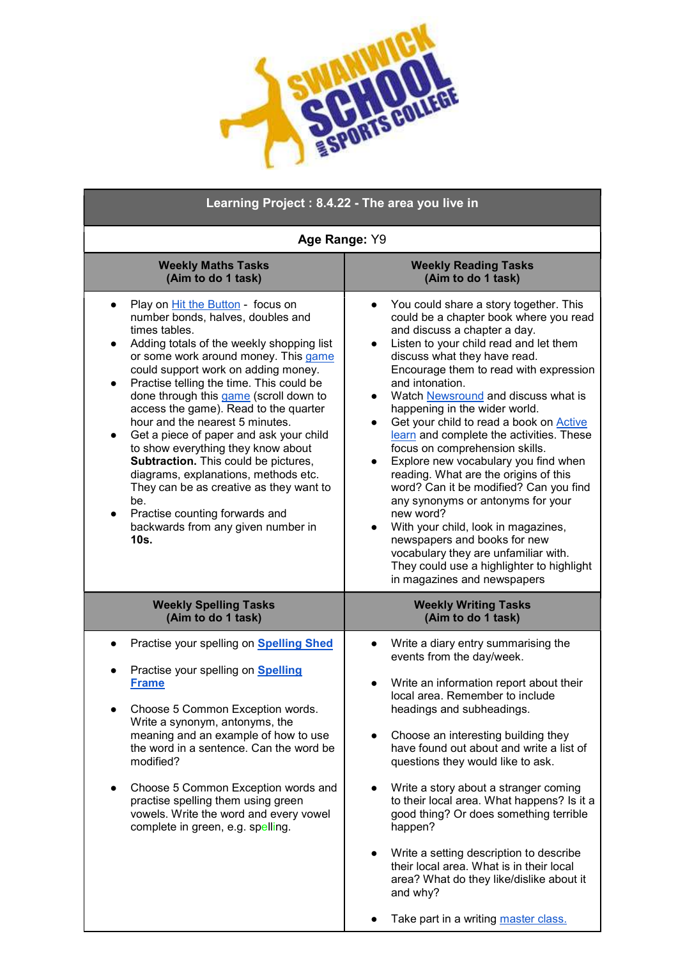

| Learning Project: 8.4.22 - The area you live in                                                                                                                                                                                                                                                                                                                                                                                                                                                                                                                                                                                                                                                                                 |                                                                                                                                                                                                                                                                                                                                                                                                                                                                                                                                                                                                                                                                                                                                                                                                                                                                                                                |
|---------------------------------------------------------------------------------------------------------------------------------------------------------------------------------------------------------------------------------------------------------------------------------------------------------------------------------------------------------------------------------------------------------------------------------------------------------------------------------------------------------------------------------------------------------------------------------------------------------------------------------------------------------------------------------------------------------------------------------|----------------------------------------------------------------------------------------------------------------------------------------------------------------------------------------------------------------------------------------------------------------------------------------------------------------------------------------------------------------------------------------------------------------------------------------------------------------------------------------------------------------------------------------------------------------------------------------------------------------------------------------------------------------------------------------------------------------------------------------------------------------------------------------------------------------------------------------------------------------------------------------------------------------|
| Age Range: Y9                                                                                                                                                                                                                                                                                                                                                                                                                                                                                                                                                                                                                                                                                                                   |                                                                                                                                                                                                                                                                                                                                                                                                                                                                                                                                                                                                                                                                                                                                                                                                                                                                                                                |
| <b>Weekly Maths Tasks</b><br>(Aim to do 1 task)                                                                                                                                                                                                                                                                                                                                                                                                                                                                                                                                                                                                                                                                                 | <b>Weekly Reading Tasks</b><br>(Aim to do 1 task)                                                                                                                                                                                                                                                                                                                                                                                                                                                                                                                                                                                                                                                                                                                                                                                                                                                              |
| Play on Hit the Button - focus on<br>number bonds, halves, doubles and<br>times tables.<br>Adding totals of the weekly shopping list<br>or some work around money. This game<br>could support work on adding money.<br>Practise telling the time. This could be<br>$\bullet$<br>done through this game (scroll down to<br>access the game). Read to the quarter<br>hour and the nearest 5 minutes.<br>Get a piece of paper and ask your child<br>$\bullet$<br>to show everything they know about<br>Subtraction. This could be pictures,<br>diagrams, explanations, methods etc.<br>They can be as creative as they want to<br>be.<br>Practise counting forwards and<br>$\bullet$<br>backwards from any given number in<br>10s. | You could share a story together. This<br>$\bullet$<br>could be a chapter book where you read<br>and discuss a chapter a day.<br>Listen to your child read and let them<br>$\bullet$<br>discuss what they have read.<br>Encourage them to read with expression<br>and intonation.<br>Watch Newsround and discuss what is<br>$\bullet$<br>happening in the wider world.<br>Get your child to read a book on Active<br>$\bullet$<br>learn and complete the activities. These<br>focus on comprehension skills.<br>Explore new vocabulary you find when<br>$\bullet$<br>reading. What are the origins of this<br>word? Can it be modified? Can you find<br>any synonyms or antonyms for your<br>new word?<br>With your child, look in magazines,<br>$\bullet$<br>newspapers and books for new<br>vocabulary they are unfamiliar with.<br>They could use a highlighter to highlight<br>in magazines and newspapers |
| <b>Weekly Spelling Tasks</b><br>(Aim to do 1 task)                                                                                                                                                                                                                                                                                                                                                                                                                                                                                                                                                                                                                                                                              | <b>Weekly Writing Tasks</b><br>(Aim to do 1 task)                                                                                                                                                                                                                                                                                                                                                                                                                                                                                                                                                                                                                                                                                                                                                                                                                                                              |
| Practise your spelling on Spelling Shed<br>Practise your spelling on <b>Spelling</b><br><b>Frame</b><br>Choose 5 Common Exception words.<br>Write a synonym, antonyms, the<br>meaning and an example of how to use<br>the word in a sentence. Can the word be<br>modified?<br>Choose 5 Common Exception words and<br>practise spelling them using green<br>vowels. Write the word and every vowel<br>complete in green, e.g. spelling.                                                                                                                                                                                                                                                                                          | Write a diary entry summarising the<br>events from the day/week.<br>Write an information report about their<br>local area. Remember to include<br>headings and subheadings.<br>Choose an interesting building they<br>have found out about and write a list of<br>questions they would like to ask.<br>Write a story about a stranger coming<br>to their local area. What happens? Is it a<br>good thing? Or does something terrible<br>happen?<br>Write a setting description to describe<br>$\bullet$<br>their local area. What is in their local<br>area? What do they like/dislike about it<br>and why?                                                                                                                                                                                                                                                                                                    |
|                                                                                                                                                                                                                                                                                                                                                                                                                                                                                                                                                                                                                                                                                                                                 | Take part in a writing master class.                                                                                                                                                                                                                                                                                                                                                                                                                                                                                                                                                                                                                                                                                                                                                                                                                                                                           |